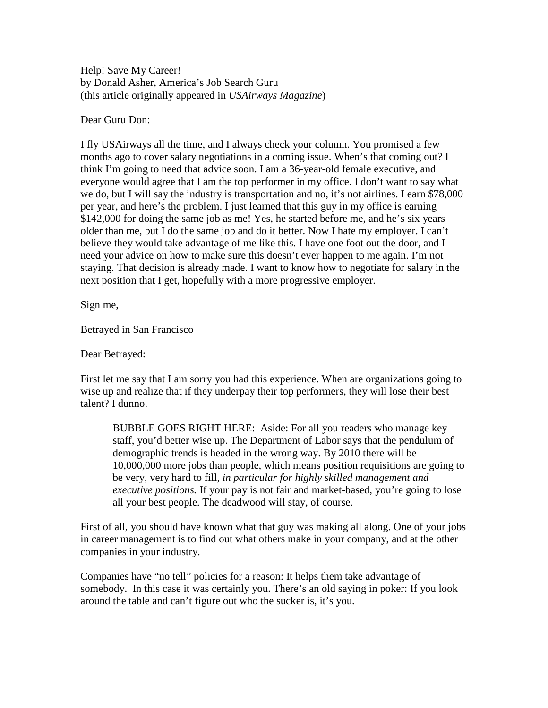Help! Save My Career! by Donald Asher, America's Job Search Guru (this article originally appeared in *USAirways Magazine*)

Dear Guru Don:

I fly USAirways all the time, and I always check your column. You promised a few months ago to cover salary negotiations in a coming issue. When's that coming out? I think I'm going to need that advice soon. I am a 36-year-old female executive, and everyone would agree that I am the top performer in my office. I don't want to say what we do, but I will say the industry is transportation and no, it's not airlines. I earn \$78,000 per year, and here's the problem. I just learned that this guy in my office is earning \$142,000 for doing the same job as me! Yes, he started before me, and he's six years older than me, but I do the same job and do it better. Now I hate my employer. I can't believe they would take advantage of me like this. I have one foot out the door, and I need your advice on how to make sure this doesn't ever happen to me again. I'm not staying. That decision is already made. I want to know how to negotiate for salary in the next position that I get, hopefully with a more progressive employer.

Sign me,

Betrayed in San Francisco

Dear Betrayed:

First let me say that I am sorry you had this experience. When are organizations going to wise up and realize that if they underpay their top performers, they will lose their best talent? I dunno.

BUBBLE GOES RIGHT HERE: Aside: For all you readers who manage key staff, you'd better wise up. The Department of Labor says that the pendulum of demographic trends is headed in the wrong way. By 2010 there will be 10,000,000 more jobs than people, which means position requisitions are going to be very, very hard to fill, *in particular for highly skilled management and executive positions.* If your pay is not fair and market-based, you're going to lose all your best people. The deadwood will stay, of course.

First of all, you should have known what that guy was making all along. One of your jobs in career management is to find out what others make in your company, and at the other companies in your industry.

Companies have "no tell" policies for a reason: It helps them take advantage of somebody. In this case it was certainly you. There's an old saying in poker: If you look around the table and can't figure out who the sucker is, it's you.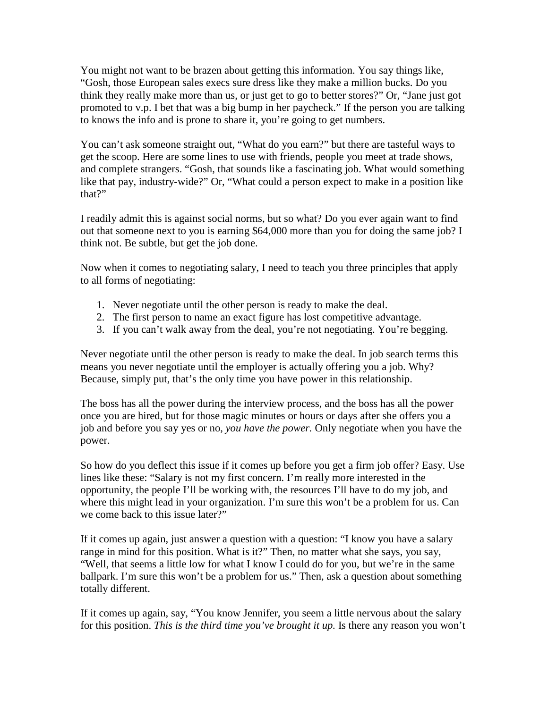You might not want to be brazen about getting this information. You say things like, "Gosh, those European sales execs sure dress like they make a million bucks. Do you think they really make more than us, or just get to go to better stores?" Or, "Jane just got promoted to v.p. I bet that was a big bump in her paycheck." If the person you are talking to knows the info and is prone to share it, you're going to get numbers.

You can't ask someone straight out, "What do you earn?" but there are tasteful ways to get the scoop. Here are some lines to use with friends, people you meet at trade shows, and complete strangers. "Gosh, that sounds like a fascinating job. What would something like that pay, industry-wide?" Or, "What could a person expect to make in a position like that?"

I readily admit this is against social norms, but so what? Do you ever again want to find out that someone next to you is earning \$64,000 more than you for doing the same job? I think not. Be subtle, but get the job done.

Now when it comes to negotiating salary, I need to teach you three principles that apply to all forms of negotiating:

- 1. Never negotiate until the other person is ready to make the deal.
- 2. The first person to name an exact figure has lost competitive advantage.
- 3. If you can't walk away from the deal, you're not negotiating. You're begging.

Never negotiate until the other person is ready to make the deal. In job search terms this means you never negotiate until the employer is actually offering you a job. Why? Because, simply put, that's the only time you have power in this relationship.

The boss has all the power during the interview process, and the boss has all the power once you are hired, but for those magic minutes or hours or days after she offers you a job and before you say yes or no, *you have the power.* Only negotiate when you have the power.

So how do you deflect this issue if it comes up before you get a firm job offer? Easy. Use lines like these: "Salary is not my first concern. I'm really more interested in the opportunity, the people I'll be working with, the resources I'll have to do my job, and where this might lead in your organization. I'm sure this won't be a problem for us. Can we come back to this issue later?"

If it comes up again, just answer a question with a question: "I know you have a salary range in mind for this position. What is it?" Then, no matter what she says, you say, "Well, that seems a little low for what I know I could do for you, but we're in the same ballpark. I'm sure this won't be a problem for us." Then, ask a question about something totally different.

If it comes up again, say, "You know Jennifer, you seem a little nervous about the salary for this position. *This is the third time you've brought it up.* Is there any reason you won't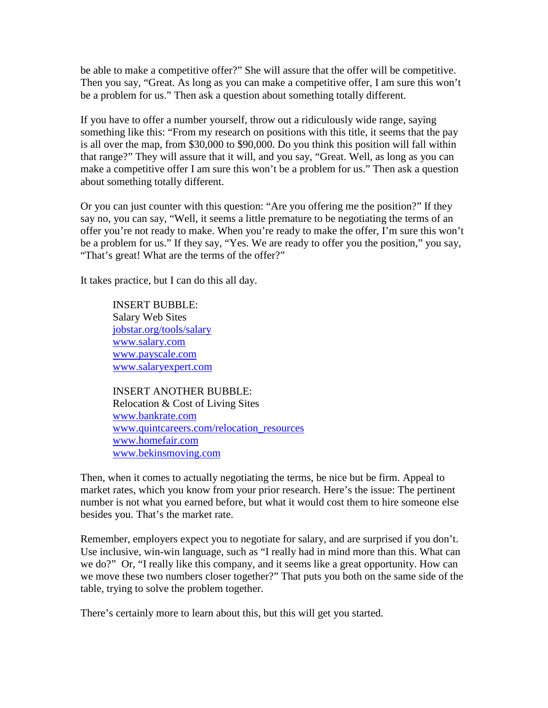be able to make a competitive offer?" She will assure that the offer will be competitive. Then you say, "Great. As long as you can make a competitive offer, I am sure this won't be a problem for us." Then ask a question about something totally different.

If you have to offer a number yourself, throw out a ridiculously wide range, saying something like this: "From my research on positions with this title, it seems that the pay is all over the map, from \$30,000 to \$90,000. Do you think this position will fall within that range?" They will assure that it will, and you say, "Great. Well, as long as you can make a competitive offer I am sure this won't be a problem for us." Then ask a question about something totally different.

Or you can just counter with this question: "Are you offering me the position?" If they say no, you can say, "Well, it seems a little premature to be negotiating the terms of an offer you're not ready to make. When you're ready to make the offer, I'm sure this won't be a problem for us." If they say, "Yes. We are ready to offer you the position," you say, "That's great! What are the terms of the offer?"

It takes practice, but I can do this all day.

INSERT BUBBLE: Salary Web Sites jobstar.org/tools/salary [www.salary.com](http://www.salary.com/) [www.payscale.com](http://www.payscale.com/) [www.salaryexpert.com](http://www.salaryexpert.com/)

INSERT ANOTHER BUBBLE: Relocation & Cost of Living Sites [www.bankrate.com](http://www.bankrate.com/) [www.quintcareers.com/relocation\\_resources](http://www.quintcareers.com/relocation_resources) [www.homefair.com](http://www.homefair.com/) [www.bekinsmoving.com](http://www.bekinsmoving.com/)

Then, when it comes to actually negotiating the terms, be nice but be firm. Appeal to market rates, which you know from your prior research. Here's the issue: The pertinent number is not what you earned before, but what it would cost them to hire someone else besides you. That's the market rate.

Remember, employers expect you to negotiate for salary, and are surprised if you don't. Use inclusive, win-win language, such as "I really had in mind more than this. What can we do?" Or, "I really like this company, and it seems like a great opportunity. How can we move these two numbers closer together?" That puts you both on the same side of the table, trying to solve the problem together.

There's certainly more to learn about this, but this will get you started.